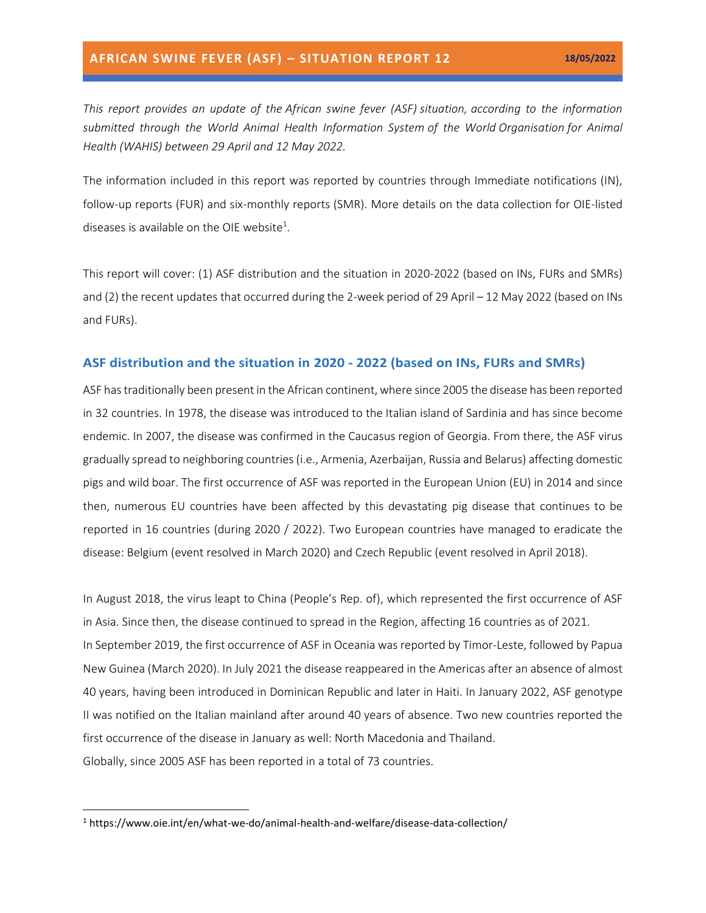*This report provides an update of the African swine fever (ASF) situation, according to the information submitted through the World Animal Health Information System of the World Organisation for Animal Health (WAHIS) between 29 April and 12 May 2022.*

The information included in this report was reported by countries through Immediate notifications (IN), follow-up reports (FUR) and six-monthly reports (SMR). More details on the data collection for OIE-listed diseases is available on the OIE website<sup>1</sup>.

This report will cover: (1) ASF distribution and the situation in 2020-2022 (based on INs, FURs and SMRs) and (2) the recent updates that occurred during the 2-week period of 29 April – 12 May 2022 (based on INs and FURs).

#### **ASF distribution and the situation in 2020 - 2022 (based on INs, FURs and SMRs)**

ASF has traditionally been present in the African continent, where since 2005 the disease has been reported in 32 countries. In 1978, the disease was introduced to the Italian island of Sardinia and has since become endemic. In 2007, the disease was confirmed in the Caucasus region of Georgia. From there, the ASF virus gradually spread to neighboring countries (i.e., Armenia, Azerbaijan, Russia and Belarus) affecting domestic pigs and wild boar. The first occurrence of ASF was reported in the European Union (EU) in 2014 and since then, numerous EU countries have been affected by this devastating pig disease that continues to be reported in 16 countries (during 2020 / 2022). Two European countries have managed to eradicate the disease: Belgium (event resolved in March 2020) and Czech Republic (event resolved in April 2018).

In August 2018, the virus leapt to China (People's Rep. of), which represented the first occurrence of ASF in Asia. Since then, the disease continued to spread in the Region, affecting 16 countries as of 2021. In September 2019, the first occurrence of ASF in Oceania was reported by Timor-Leste, followed by Papua New Guinea (March 2020). In July 2021 the disease reappeared in the Americas after an absence of almost 40 years, having been introduced in Dominican Republic and later in Haiti. In January 2022, ASF genotype II was notified on the Italian mainland after around 40 years of absence. Two new countries reported the first occurrence of the disease in January as well: North Macedonia and Thailand. Globally, since 2005 ASF has been reported in a total of 73 countries.

<sup>1</sup> https://www.oie.int/en/what-we-do/animal-health-and-welfare/disease-data-collection/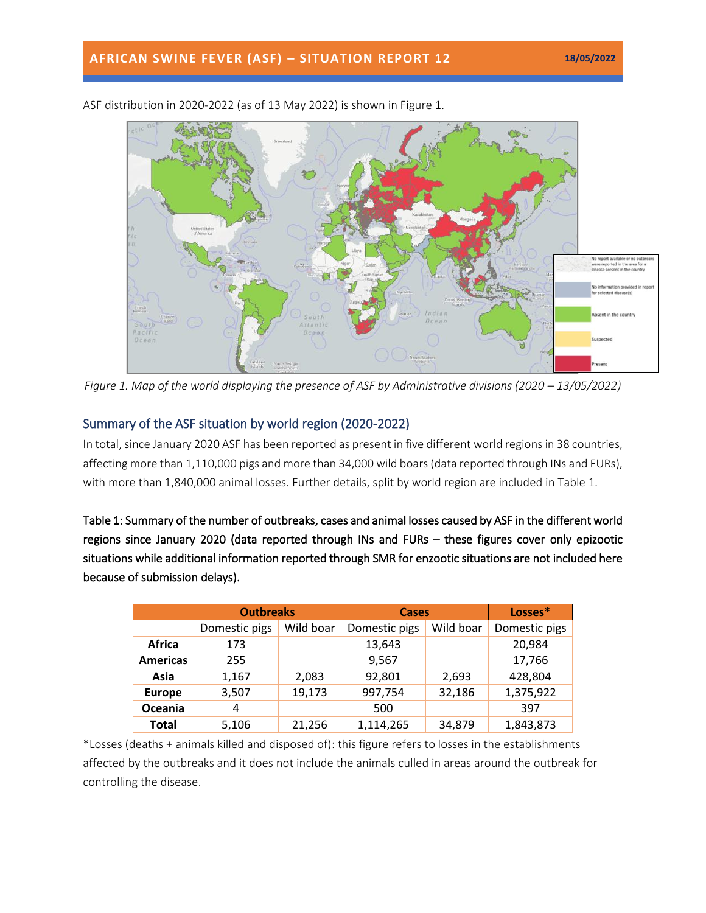

ASF distribution in 2020-2022 (as of 13 May 2022) is shown in Figure 1.

*Figure 1. Map of the world displaying the presence of ASF by Administrative divisions (2020 – 13/05/2022)* 

### Summary of the ASF situation by world region (2020-2022)

In total, since January 2020 ASF has been reported as present in five different world regions in 38 countries, affecting more than 1,110,000 pigs and more than 34,000 wild boars(data reported through INs and FURs), with more than 1,840,000 animal losses. Further details, split by world region are included in Table 1.

Table 1: Summary of the number of outbreaks, cases and animal losses caused by ASF in the different world regions since January 2020 (data reported through INs and FURs – these figures cover only epizootic situations while additional information reported through SMR for enzootic situations are not included here because of submission delays).

|                 | <b>Outbreaks</b> |           | <b>Cases</b>  |           | Losses*       |
|-----------------|------------------|-----------|---------------|-----------|---------------|
|                 | Domestic pigs    | Wild boar | Domestic pigs | Wild boar | Domestic pigs |
| <b>Africa</b>   | 173              |           | 13,643        |           | 20,984        |
| <b>Americas</b> | 255              |           | 9,567         |           | 17,766        |
| Asia            | 1,167            | 2,083     | 92,801        | 2,693     | 428,804       |
| <b>Europe</b>   | 3,507            | 19,173    | 997,754       | 32,186    | 1,375,922     |
| Oceania         | 4                |           | 500           |           | 397           |
| <b>Total</b>    | 5,106            | 21,256    | 1,114,265     | 34,879    | 1,843,873     |

\*Losses (deaths + animals killed and disposed of): this figure refers to losses in the establishments affected by the outbreaks and it does not include the animals culled in areas around the outbreak for controlling the disease.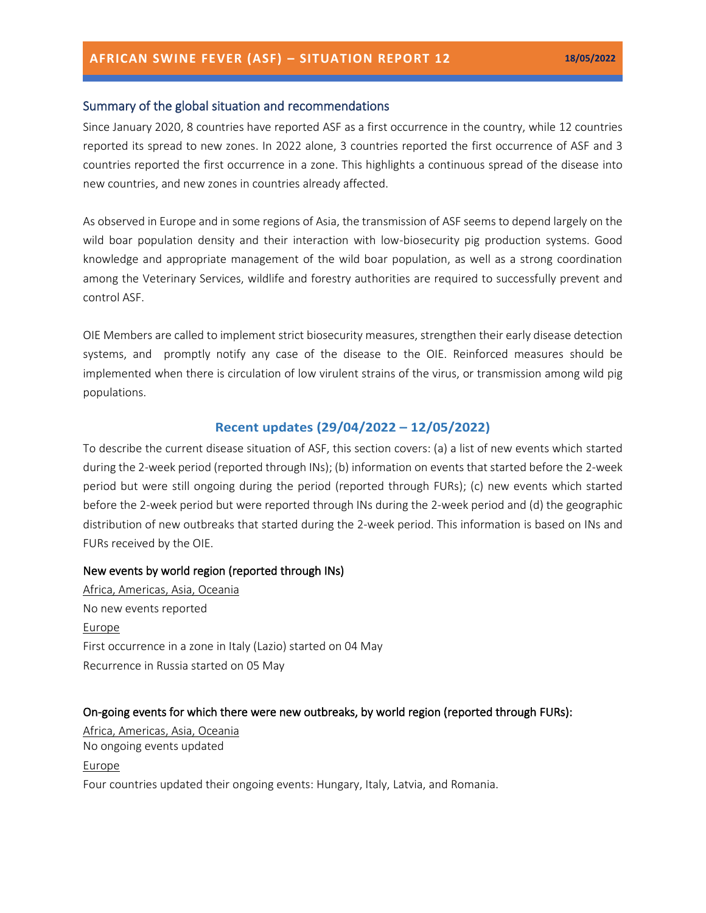#### Summary of the global situation and recommendations

Since January 2020, 8 countries have reported ASF as a first occurrence in the country, while 12 countries reported its spread to new zones. In 2022 alone, 3 countries reported the first occurrence of ASF and 3 countries reported the first occurrence in a zone. This highlights a continuous spread of the disease into new countries, and new zones in countries already affected.

As observed in Europe and in some regions of Asia, the transmission of ASF seems to depend largely on the wild boar population density and their interaction with low-biosecurity pig production systems. Good knowledge and appropriate management of the wild boar population, as well as a strong coordination among the Veterinary Services, wildlife and forestry authorities are required to successfully prevent and control ASF.

OIE Members are called to implement strict [biosecurity measures,](https://trello.com/c/jbPlhbq6/55-infographic-en-es-fr-ru-ch) strengthen their early disease detection systems, and promptly notify any case of the disease to the OIE. Reinforced measures should be implemented when there is circulation of low virulent strains of the virus, or transmission among wild pig populations.

#### **Recent updates (29/04/2022 – 12/05/2022)**

To describe the current disease situation of ASF, this section covers: (a) a list of new events which started during the 2-week period (reported through INs); (b) information on events that started before the 2-week period but were still ongoing during the period (reported through FURs); (c) new events which started before the 2-week period but were reported through INs during the 2-week period and (d) the geographic distribution of new outbreaks that started during the 2-week period. This information is based on INs and FURs received by the OIE.

#### New events by world region (reported through INs)

Africa, Americas, Asia, Oceania No new events reported Europe First occurrence in a zone in Italy (Lazio) started on 04 May Recurrence in Russia started on 05 May

#### On-going events for which there were new outbreaks, by world region (reported through FURs):

Africa, Americas, Asia, Oceania No ongoing events updated Europe Four countries updated their ongoing events: Hungary, Italy, Latvia, and Romania.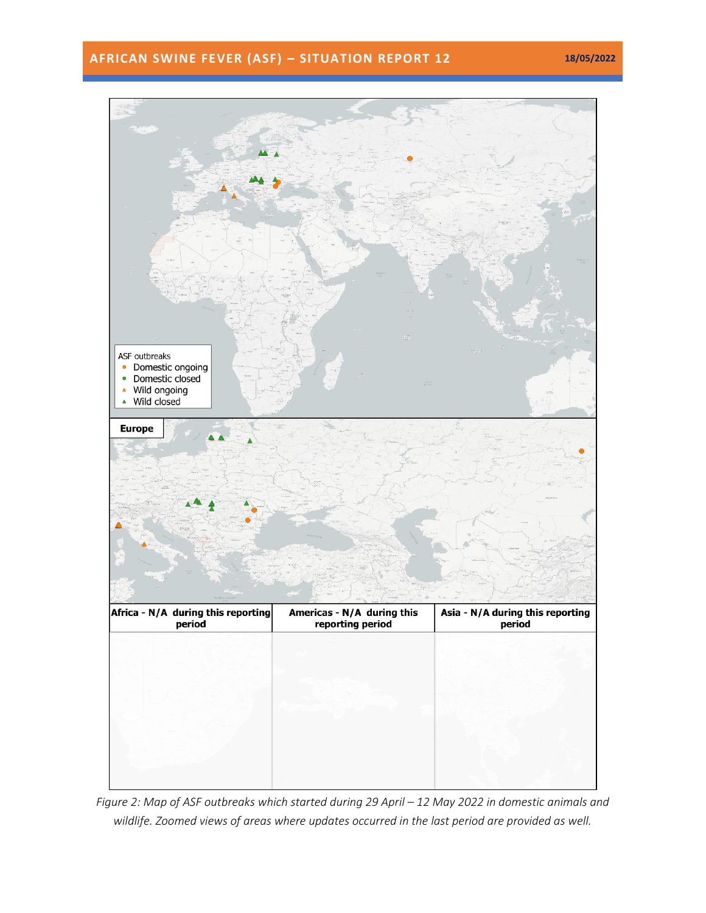## **AFRICAN SWINE FEVER (ASF) – SITUATION REPORT 12 18/05/2022**



*Figure 2: Map of ASF outbreaks which started during 29 April – 12 May 2022 in domestic animals and wildlife. Zoomed views of areas where updates occurred in the last period are provided as well.*